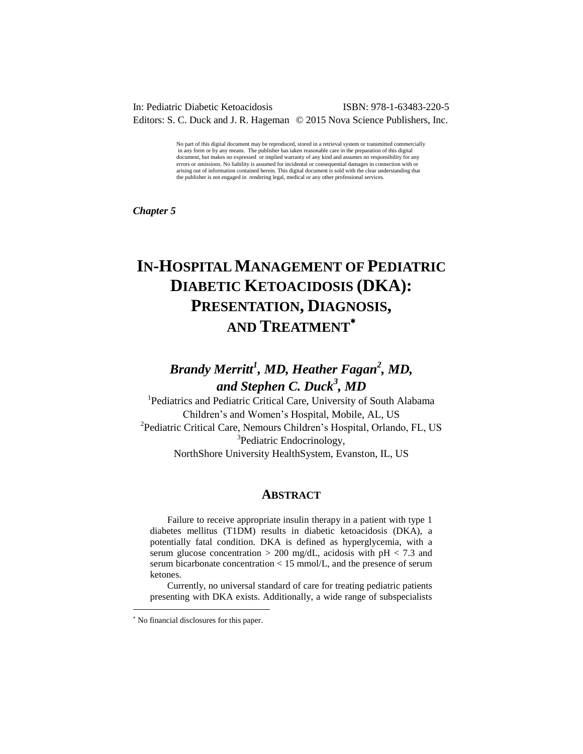### In: Pediatric Diabetic Ketoacidosis ISBN: 978-1-63483-220-5 Editors: S. C. Duck and J. R. Hageman © 2015 Nova Science Publishers, Inc.

No part of this digital document may be reproduced, stored in a retrieval system or transmitted commercially in any form or by any means. The publisher has taken reasonable care in the preparation of this digital document, but makes no expressed or implied warranty of any kind and assumes no responsibility for any errors or omissions. No liability is assumed for incidental or consequential damages in connection with or arising out of information contained herein. This digital document is sold with the clear understanding that the publisher is not engaged in rendering legal, medical or any other professional services.

*Chapter 5* 

# **IN-HOSPITAL MANAGEMENT OF PEDIATRIC DIABETIC KETOACIDOSIS (DKA): PRESENTATION, DIAGNOSIS, AND TREATMENT**

# *Brandy Merritt<sup>1</sup> , MD, Heather Fagan<sup>2</sup> , MD, and Stephen C. Duck<sup>3</sup> , MD*

<sup>1</sup>Pediatrics and Pediatric Critical Care, University of South Alabama Children's and Women's Hospital, Mobile, AL, US 2 Pediatric Critical Care, Nemours Children's Hospital, Orlando, FL, US <sup>3</sup>Pediatric Endocrinology, NorthShore University HealthSystem, Evanston, IL, US

### **ABSTRACT**

Failure to receive appropriate insulin therapy in a patient with type 1 diabetes mellitus (T1DM) results in diabetic ketoacidosis (DKA), a potentially fatal condition. DKA is defined as hyperglycemia, with a serum glucose concentration  $> 200$  mg/dL, acidosis with pH  $< 7.3$  and serum bicarbonate concentration < 15 mmol/L, and the presence of serum ketones.

Currently, no universal standard of care for treating pediatric patients presenting with DKA exists. Additionally, a wide range of subspecialists

l

 No financial disclosures for this paper.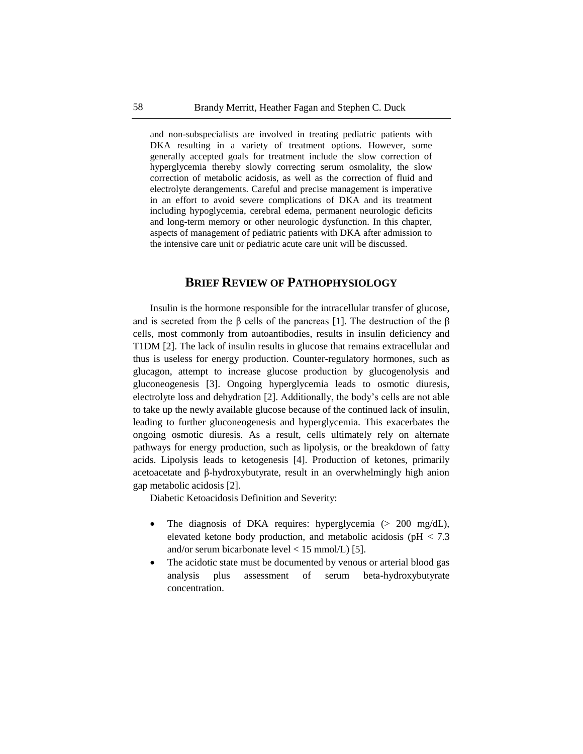and non-subspecialists are involved in treating pediatric patients with DKA resulting in a variety of treatment options. However, some generally accepted goals for treatment include the slow correction of hyperglycemia thereby slowly correcting serum osmolality, the slow correction of metabolic acidosis, as well as the correction of fluid and electrolyte derangements. Careful and precise management is imperative in an effort to avoid severe complications of DKA and its treatment including hypoglycemia, cerebral edema, permanent neurologic deficits and long-term memory or other neurologic dysfunction. In this chapter, aspects of management of pediatric patients with DKA after admission to the intensive care unit or pediatric acute care unit will be discussed.

# **BRIEF REVIEW OF PATHOPHYSIOLOGY**

Insulin is the hormone responsible for the intracellular transfer of glucose, and is secreted from the  $\beta$  cells of the pancreas [1]. The destruction of the  $\beta$ cells, most commonly from autoantibodies, results in insulin deficiency and T1DM [2]. The lack of insulin results in glucose that remains extracellular and thus is useless for energy production. Counter-regulatory hormones, such as glucagon, attempt to increase glucose production by glucogenolysis and gluconeogenesis [3]. Ongoing hyperglycemia leads to osmotic diuresis, electrolyte loss and dehydration [2]. Additionally, the body's cells are not able to take up the newly available glucose because of the continued lack of insulin, leading to further gluconeogenesis and hyperglycemia. This exacerbates the ongoing osmotic diuresis. As a result, cells ultimately rely on alternate pathways for energy production, such as lipolysis, or the breakdown of fatty acids. Lipolysis leads to ketogenesis [4]. Production of ketones, primarily acetoacetate and β-hydroxybutyrate, result in an overwhelmingly high anion gap metabolic acidosis [2].

Diabetic Ketoacidosis Definition and Severity:

- The diagnosis of DKA requires: hyperglycemia (> 200 mg/dL), elevated ketone body production, and metabolic acidosis ( $pH < 7.3$ ) and/or serum bicarbonate level < 15 mmol/L) [5].
- The acidotic state must be documented by venous or arterial blood gas analysis plus assessment of serum beta-hydroxybutyrate concentration.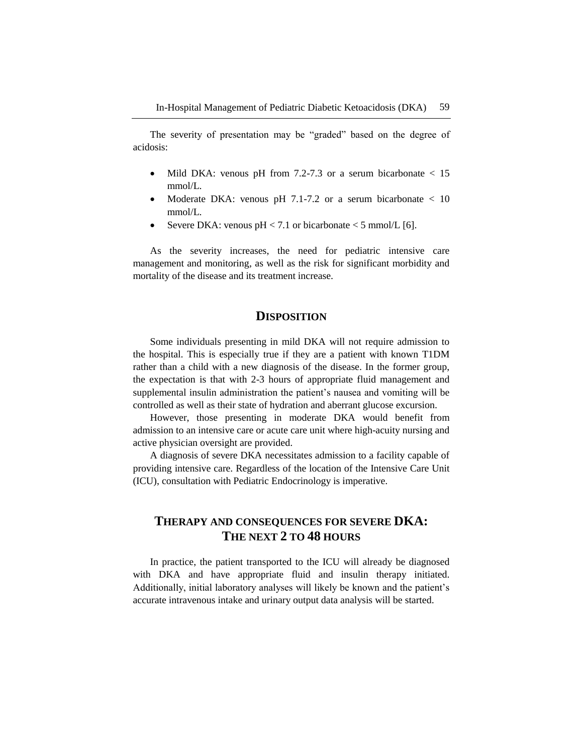The severity of presentation may be "graded" based on the degree of acidosis:

- Mild DKA: venous pH from 7.2-7.3 or a serum bicarbonate < 15 mmol/L.
- Moderate DKA: venous pH 7.1-7.2 or a serum bicarbonate < 10 mmol/L.
- Severe DKA: venous  $pH < 7.1$  or bicarbonate  $< 5$  mmol/L [6].

As the severity increases, the need for pediatric intensive care management and monitoring, as well as the risk for significant morbidity and mortality of the disease and its treatment increase.

# **DISPOSITION**

Some individuals presenting in mild DKA will not require admission to the hospital. This is especially true if they are a patient with known T1DM rather than a child with a new diagnosis of the disease. In the former group, the expectation is that with 2-3 hours of appropriate fluid management and supplemental insulin administration the patient's nausea and vomiting will be controlled as well as their state of hydration and aberrant glucose excursion.

However, those presenting in moderate DKA would benefit from admission to an intensive care or acute care unit where high-acuity nursing and active physician oversight are provided.

A diagnosis of severe DKA necessitates admission to a facility capable of providing intensive care. Regardless of the location of the Intensive Care Unit (ICU), consultation with Pediatric Endocrinology is imperative.

# **THERAPY AND CONSEQUENCES FOR SEVERE DKA: THE NEXT 2 TO 48 HOURS**

In practice, the patient transported to the ICU will already be diagnosed with DKA and have appropriate fluid and insulin therapy initiated. Additionally, initial laboratory analyses will likely be known and the patient's accurate intravenous intake and urinary output data analysis will be started.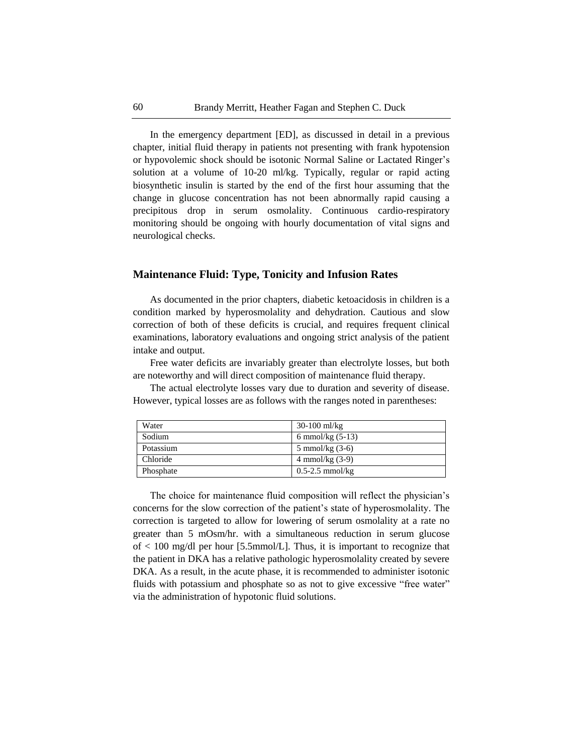In the emergency department [ED], as discussed in detail in a previous chapter, initial fluid therapy in patients not presenting with frank hypotension or hypovolemic shock should be isotonic Normal Saline or Lactated Ringer's solution at a volume of 10-20 ml/kg. Typically, regular or rapid acting biosynthetic insulin is started by the end of the first hour assuming that the change in glucose concentration has not been abnormally rapid causing a precipitous drop in serum osmolality. Continuous cardio-respiratory monitoring should be ongoing with hourly documentation of vital signs and neurological checks.

## **Maintenance Fluid: Type, Tonicity and Infusion Rates**

As documented in the prior chapters, diabetic ketoacidosis in children is a condition marked by hyperosmolality and dehydration. Cautious and slow correction of both of these deficits is crucial, and requires frequent clinical examinations, laboratory evaluations and ongoing strict analysis of the patient intake and output.

Free water deficits are invariably greater than electrolyte losses, but both are noteworthy and will direct composition of maintenance fluid therapy.

The actual electrolyte losses vary due to duration and severity of disease. However, typical losses are as follows with the ranges noted in parentheses:

| Water     | $30-100$ ml/kg      |
|-----------|---------------------|
| Sodium    | 6 mmol/kg $(5-13)$  |
| Potassium | 5 mmol/kg $(3-6)$   |
| Chloride  | 4 mmol/kg $(3-9)$   |
| Phosphate | $0.5 - 2.5$ mmol/kg |

The choice for maintenance fluid composition will reflect the physician's concerns for the slow correction of the patient's state of hyperosmolality. The correction is targeted to allow for lowering of serum osmolality at a rate no greater than 5 mOsm/hr. with a simultaneous reduction in serum glucose of < 100 mg/dl per hour [5.5mmol/L]. Thus, it is important to recognize that the patient in DKA has a relative pathologic hyperosmolality created by severe DKA. As a result, in the acute phase, it is recommended to administer isotonic fluids with potassium and phosphate so as not to give excessive "free water" via the administration of hypotonic fluid solutions.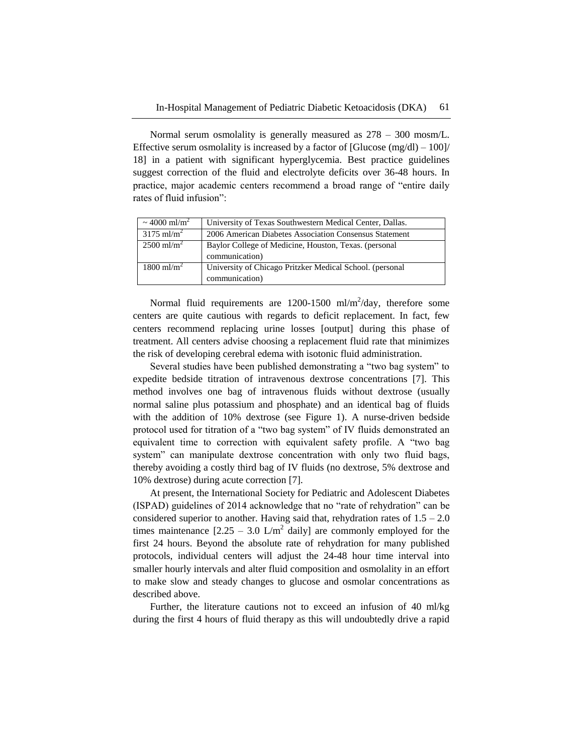Normal serum osmolality is generally measured as 278 – 300 mosm/L. Effective serum osmolality is increased by a factor of  $[G]ucose(mg/dl) - 100]/$ 18] in a patient with significant hyperglycemia. Best practice guidelines suggest correction of the fluid and electrolyte deficits over 36-48 hours. In practice, major academic centers recommend a broad range of "entire daily" rates of fluid infusion":

| ~ 4000 ml/m <sup>2</sup> | University of Texas Southwestern Medical Center, Dallas. |
|--------------------------|----------------------------------------------------------|
| $3175$ ml/m <sup>2</sup> | 2006 American Diabetes Association Consensus Statement   |
| $2500 \text{ ml/m}^2$    | Baylor College of Medicine, Houston, Texas. (personal    |
|                          | communication)                                           |
| $1800 \text{ ml/m}^2$    | University of Chicago Pritzker Medical School. (personal |
|                          | communication)                                           |

Normal fluid requirements are  $1200-1500$  ml/m<sup>2</sup>/day, therefore some centers are quite cautious with regards to deficit replacement. In fact, few centers recommend replacing urine losses [output] during this phase of treatment. All centers advise choosing a replacement fluid rate that minimizes the risk of developing cerebral edema with isotonic fluid administration.

Several studies have been published demonstrating a "two bag system" to expedite bedside titration of intravenous dextrose concentrations [7]. This method involves one bag of intravenous fluids without dextrose (usually normal saline plus potassium and phosphate) and an identical bag of fluids with the addition of 10% dextrose (see Figure 1). A nurse-driven bedside protocol used for titration of a "two bag system" of IV fluids demonstrated an equivalent time to correction with equivalent safety profile. A "two bag system" can manipulate dextrose concentration with only two fluid bags, thereby avoiding a costly third bag of IV fluids (no dextrose, 5% dextrose and 10% dextrose) during acute correction [7].

At present, the International Society for Pediatric and Adolescent Diabetes (ISPAD) guidelines of 2014 acknowledge that no "rate of rehydration" can be considered superior to another. Having said that, rehydration rates of  $1.5 - 2.0$ times maintenance  $[2.25 - 3.0 \text{ L/m}^2]$  daily] are commonly employed for the first 24 hours. Beyond the absolute rate of rehydration for many published protocols, individual centers will adjust the 24-48 hour time interval into smaller hourly intervals and alter fluid composition and osmolality in an effort to make slow and steady changes to glucose and osmolar concentrations as described above.

Further, the literature cautions not to exceed an infusion of 40 ml/kg during the first 4 hours of fluid therapy as this will undoubtedly drive a rapid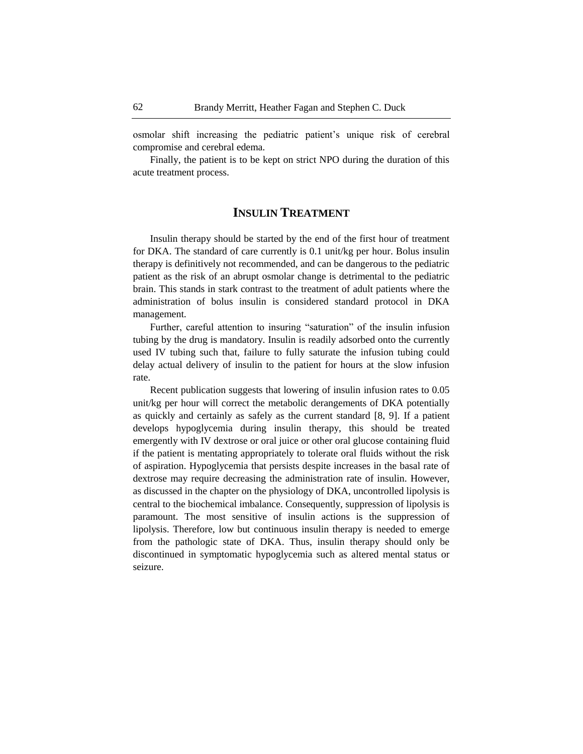osmolar shift increasing the pediatric patient's unique risk of cerebral compromise and cerebral edema.

Finally, the patient is to be kept on strict NPO during the duration of this acute treatment process.

# **INSULIN TREATMENT**

Insulin therapy should be started by the end of the first hour of treatment for DKA. The standard of care currently is 0.1 unit/kg per hour. Bolus insulin therapy is definitively not recommended, and can be dangerous to the pediatric patient as the risk of an abrupt osmolar change is detrimental to the pediatric brain. This stands in stark contrast to the treatment of adult patients where the administration of bolus insulin is considered standard protocol in DKA management.

Further, careful attention to insuring "saturation" of the insulin infusion tubing by the drug is mandatory. Insulin is readily adsorbed onto the currently used IV tubing such that, failure to fully saturate the infusion tubing could delay actual delivery of insulin to the patient for hours at the slow infusion rate.

Recent publication suggests that lowering of insulin infusion rates to 0.05 unit/kg per hour will correct the metabolic derangements of DKA potentially as quickly and certainly as safely as the current standard [8, 9]. If a patient develops hypoglycemia during insulin therapy, this should be treated emergently with IV dextrose or oral juice or other oral glucose containing fluid if the patient is mentating appropriately to tolerate oral fluids without the risk of aspiration. Hypoglycemia that persists despite increases in the basal rate of dextrose may require decreasing the administration rate of insulin. However, as discussed in the chapter on the physiology of DKA, uncontrolled lipolysis is central to the biochemical imbalance. Consequently, suppression of lipolysis is paramount. The most sensitive of insulin actions is the suppression of lipolysis. Therefore, low but continuous insulin therapy is needed to emerge from the pathologic state of DKA. Thus, insulin therapy should only be discontinued in symptomatic hypoglycemia such as altered mental status or seizure.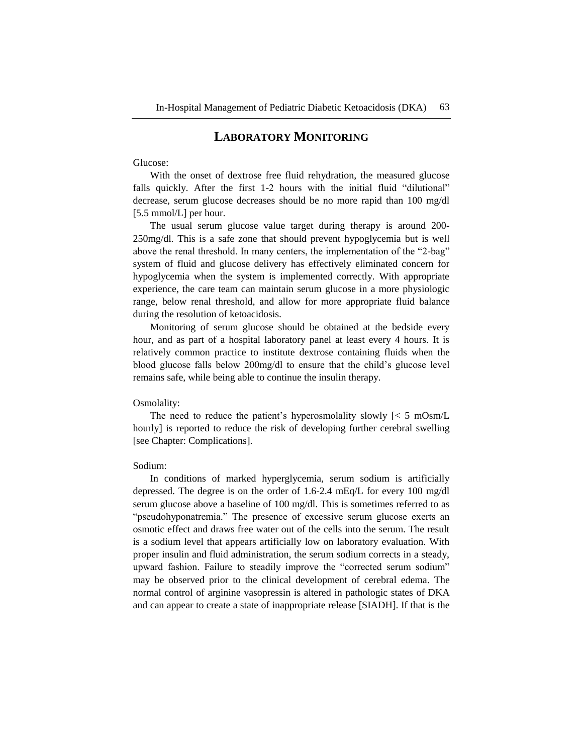# **LABORATORY MONITORING**

#### Glucose:

With the onset of dextrose free fluid rehydration, the measured glucose falls quickly. After the first 1-2 hours with the initial fluid "dilutional" decrease, serum glucose decreases should be no more rapid than 100 mg/dl [5.5 mmol/L] per hour.

The usual serum glucose value target during therapy is around 200- 250mg/dl. This is a safe zone that should prevent hypoglycemia but is well above the renal threshold. In many centers, the implementation of the "2-bag" system of fluid and glucose delivery has effectively eliminated concern for hypoglycemia when the system is implemented correctly. With appropriate experience, the care team can maintain serum glucose in a more physiologic range, below renal threshold, and allow for more appropriate fluid balance during the resolution of ketoacidosis.

Monitoring of serum glucose should be obtained at the bedside every hour, and as part of a hospital laboratory panel at least every 4 hours. It is relatively common practice to institute dextrose containing fluids when the blood glucose falls below 200mg/dl to ensure that the child's glucose level remains safe, while being able to continue the insulin therapy.

#### Osmolality:

The need to reduce the patient's hyperosmolality slowly  $\leq 5$  mOsm/L hourly] is reported to reduce the risk of developing further cerebral swelling [see Chapter: Complications].

#### Sodium:

In conditions of marked hyperglycemia, serum sodium is artificially depressed. The degree is on the order of 1.6-2.4 mEq/L for every 100 mg/dl serum glucose above a baseline of 100 mg/dl. This is sometimes referred to as "pseudohyponatremia." The presence of excessive serum glucose exerts an osmotic effect and draws free water out of the cells into the serum. The result is a sodium level that appears artificially low on laboratory evaluation. With proper insulin and fluid administration, the serum sodium corrects in a steady, upward fashion. Failure to steadily improve the "corrected serum sodium" may be observed prior to the clinical development of cerebral edema. The normal control of arginine vasopressin is altered in pathologic states of DKA and can appear to create a state of inappropriate release [SIADH]. If that is the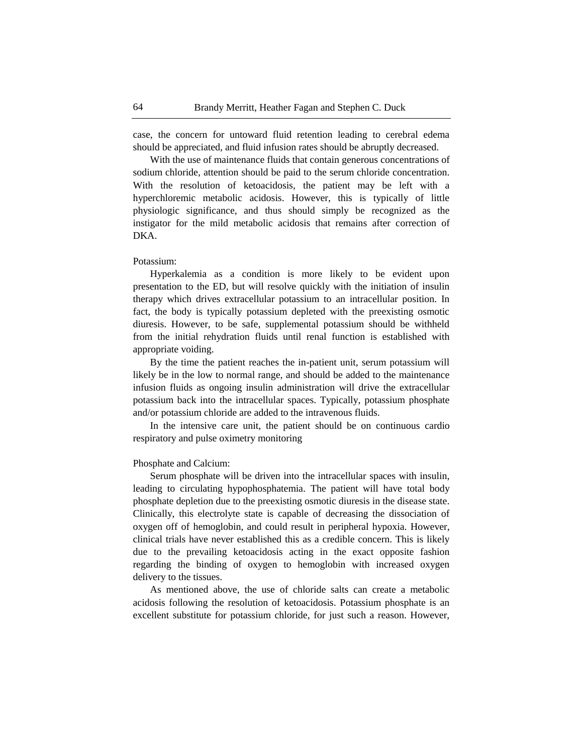case, the concern for untoward fluid retention leading to cerebral edema should be appreciated, and fluid infusion rates should be abruptly decreased.

With the use of maintenance fluids that contain generous concentrations of sodium chloride, attention should be paid to the serum chloride concentration. With the resolution of ketoacidosis, the patient may be left with a hyperchloremic metabolic acidosis. However, this is typically of little physiologic significance, and thus should simply be recognized as the instigator for the mild metabolic acidosis that remains after correction of DKA.

#### Potassium:

Hyperkalemia as a condition is more likely to be evident upon presentation to the ED, but will resolve quickly with the initiation of insulin therapy which drives extracellular potassium to an intracellular position. In fact, the body is typically potassium depleted with the preexisting osmotic diuresis. However, to be safe, supplemental potassium should be withheld from the initial rehydration fluids until renal function is established with appropriate voiding.

By the time the patient reaches the in-patient unit, serum potassium will likely be in the low to normal range, and should be added to the maintenance infusion fluids as ongoing insulin administration will drive the extracellular potassium back into the intracellular spaces. Typically, potassium phosphate and/or potassium chloride are added to the intravenous fluids.

In the intensive care unit, the patient should be on continuous cardio respiratory and pulse oximetry monitoring

#### Phosphate and Calcium:

Serum phosphate will be driven into the intracellular spaces with insulin, leading to circulating hypophosphatemia. The patient will have total body phosphate depletion due to the preexisting osmotic diuresis in the disease state. Clinically, this electrolyte state is capable of decreasing the dissociation of oxygen off of hemoglobin, and could result in peripheral hypoxia. However, clinical trials have never established this as a credible concern. This is likely due to the prevailing ketoacidosis acting in the exact opposite fashion regarding the binding of oxygen to hemoglobin with increased oxygen delivery to the tissues.

As mentioned above, the use of chloride salts can create a metabolic acidosis following the resolution of ketoacidosis. Potassium phosphate is an excellent substitute for potassium chloride, for just such a reason. However,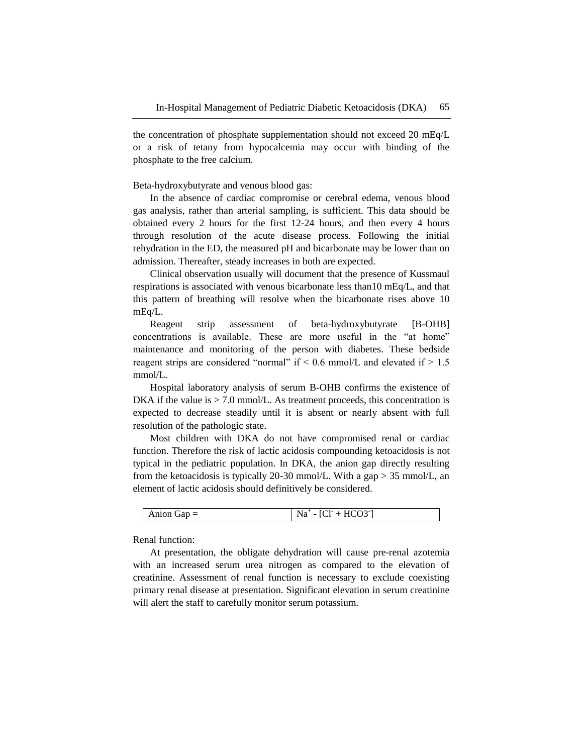the concentration of phosphate supplementation should not exceed 20 mEq/L or a risk of tetany from hypocalcemia may occur with binding of the phosphate to the free calcium.

Beta-hydroxybutyrate and venous blood gas:

In the absence of cardiac compromise or cerebral edema, venous blood gas analysis, rather than arterial sampling, is sufficient. This data should be obtained every 2 hours for the first 12-24 hours, and then every 4 hours through resolution of the acute disease process. Following the initial rehydration in the ED, the measured pH and bicarbonate may be lower than on admission. Thereafter, steady increases in both are expected.

Clinical observation usually will document that the presence of Kussmaul respirations is associated with venous bicarbonate less than10 mEq/L, and that this pattern of breathing will resolve when the bicarbonate rises above 10 mEq/L.

Reagent strip assessment of beta-hydroxybutyrate [B-OHB] concentrations is available. These are more useful in the "at home" maintenance and monitoring of the person with diabetes. These bedside reagent strips are considered "normal" if  $\leq 0.6$  mmol/L and elevated if  $> 1.5$ mmol/L.

Hospital laboratory analysis of serum B-OHB confirms the existence of DKA if the value is  $> 7.0$  mmol/L. As treatment proceeds, this concentration is expected to decrease steadily until it is absent or nearly absent with full resolution of the pathologic state.

Most children with DKA do not have compromised renal or cardiac function. Therefore the risk of lactic acidosis compounding ketoacidosis is not typical in the pediatric population. In DKA, the anion gap directly resulting from the ketoacidosis is typically 20-30 mmol/L. With a gap > 35 mmol/L, an element of lactic acidosis should definitively be considered.

| Anion $Gap =$ | $- [CI^+ + HCO3^-]$<br>Na<br>◡ |
|---------------|--------------------------------|
|---------------|--------------------------------|

Renal function:

At presentation, the obligate dehydration will cause pre-renal azotemia with an increased serum urea nitrogen as compared to the elevation of creatinine. Assessment of renal function is necessary to exclude coexisting primary renal disease at presentation. Significant elevation in serum creatinine will alert the staff to carefully monitor serum potassium.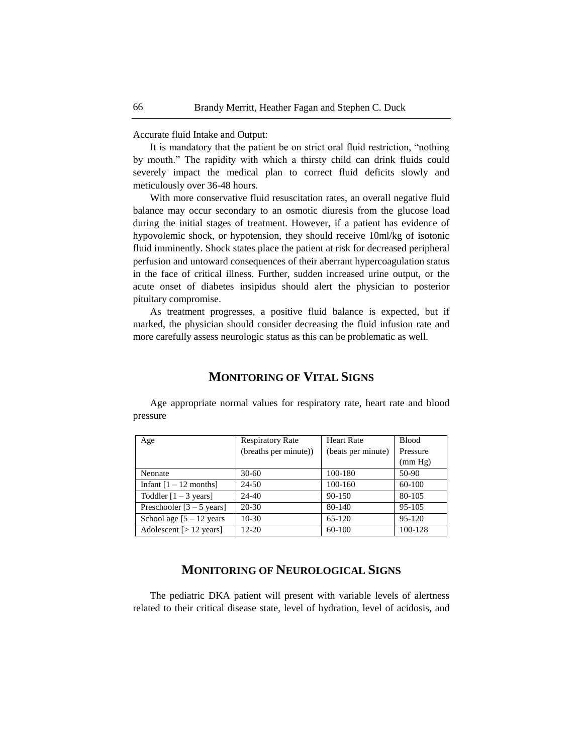Accurate fluid Intake and Output:

It is mandatory that the patient be on strict oral fluid restriction, "nothing by mouth." The rapidity with which a thirsty child can drink fluids could severely impact the medical plan to correct fluid deficits slowly and meticulously over 36-48 hours.

With more conservative fluid resuscitation rates, an overall negative fluid balance may occur secondary to an osmotic diuresis from the glucose load during the initial stages of treatment. However, if a patient has evidence of hypovolemic shock, or hypotension, they should receive 10ml/kg of isotonic fluid imminently. Shock states place the patient at risk for decreased peripheral perfusion and untoward consequences of their aberrant hypercoagulation status in the face of critical illness. Further, sudden increased urine output, or the acute onset of diabetes insipidus should alert the physician to posterior pituitary compromise.

As treatment progresses, a positive fluid balance is expected, but if marked, the physician should consider decreasing the fluid infusion rate and more carefully assess neurologic status as this can be problematic as well.

#### Age Respiratory Rate (breaths per minute)) Heart Rate (beats per minute) Blood Pressure (mm Hg) Neonate 30-60 100-180 50-90 Infant  $[1 - 12 \text{ months}]$  24-50 100-160 60-100 Toddler  $[1 - 3 \text{ years}]$  24-40 90-150 80-105 Preschooler [3 – 5 years] 20-30 80-140 95-105 School age  $[5 - 12 \text{ years} \mid 10 - 30 \mid 65 - 120 \mid 95 - 120$ Adolescent [> 12 years] 12-20 60-100 100-128

# **MONITORING OF VITAL SIGNS**

Age appropriate normal values for respiratory rate, heart rate and blood

# **MONITORING OF NEUROLOGICAL SIGNS**

The pediatric DKA patient will present with variable levels of alertness related to their critical disease state, level of hydration, level of acidosis, and

pressure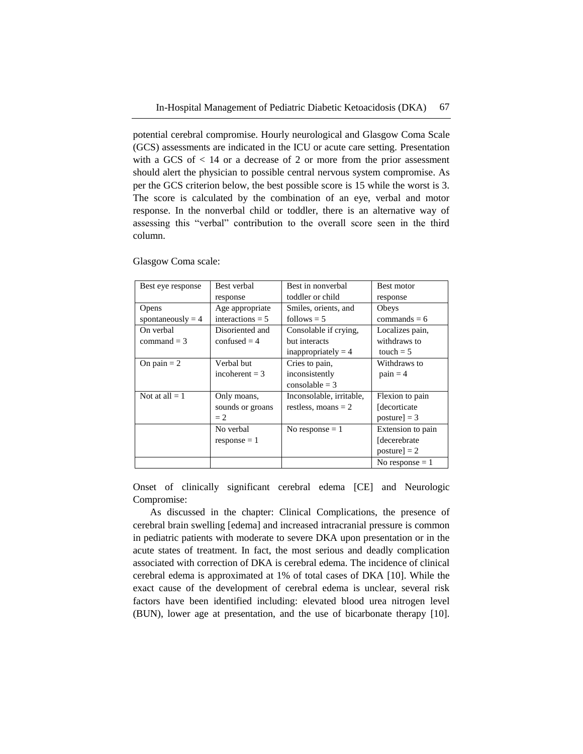potential cerebral compromise. Hourly neurological and Glasgow Coma Scale (GCS) assessments are indicated in the ICU or acute care setting. Presentation with a GCS of  $\lt$  14 or a decrease of 2 or more from the prior assessment should alert the physician to possible central nervous system compromise. As per the GCS criterion below, the best possible score is 15 while the worst is 3. The score is calculated by the combination of an eye, verbal and motor response. In the nonverbal child or toddler, there is an alternative way of assessing this "verbal" contribution to the overall score seen in the third column.

| Best eye response   | Best verbal        | Best in nonverbal        | Best motor        |
|---------------------|--------------------|--------------------------|-------------------|
|                     | response           | toddler or child         | response          |
| Opens               | Age appropriate    | Smiles, orients, and     | Obeys             |
| spontaneously = $4$ | interactions $= 5$ | follows $= 5$            | commands $= 6$    |
| On verbal           | Disoriented and    | Consolable if crying,    | Localizes pain,   |
| $command = 3$       | confused $= 4$     | but interacts            | withdraws to      |
|                     |                    | inappropriately $=$ 4    | touch $= 5$       |
| On pain $= 2$       | Verbal but         | Cries to pain,           | Withdraws to      |
|                     | incoherent $=$ 3   | inconsistently           | $pain = 4$        |
|                     |                    | $consolable = 3$         |                   |
| Not at all $= 1$    | Only moans,        | Inconsolable, irritable, | Flexion to pain   |
|                     | sounds or groans   | restless, moans $= 2$    | [decorticate]     |
|                     | $= 2$              |                          | $posture$ = 3     |
|                     | No verbal          | No response $= 1$        | Extension to pain |
|                     | $response = 1$     |                          | [decerebrate]     |
|                     |                    |                          | $posture$ = 2     |
|                     |                    |                          | No response $= 1$ |

Glasgow Coma scale:

Onset of clinically significant cerebral edema [CE] and Neurologic Compromise:

As discussed in the chapter: Clinical Complications, the presence of cerebral brain swelling [edema] and increased intracranial pressure is common in pediatric patients with moderate to severe DKA upon presentation or in the acute states of treatment. In fact, the most serious and deadly complication associated with correction of DKA is cerebral edema. The incidence of clinical cerebral edema is approximated at 1% of total cases of DKA [10]. While the exact cause of the development of cerebral edema is unclear, several risk factors have been identified including: elevated blood urea nitrogen level (BUN), lower age at presentation, and the use of bicarbonate therapy [10].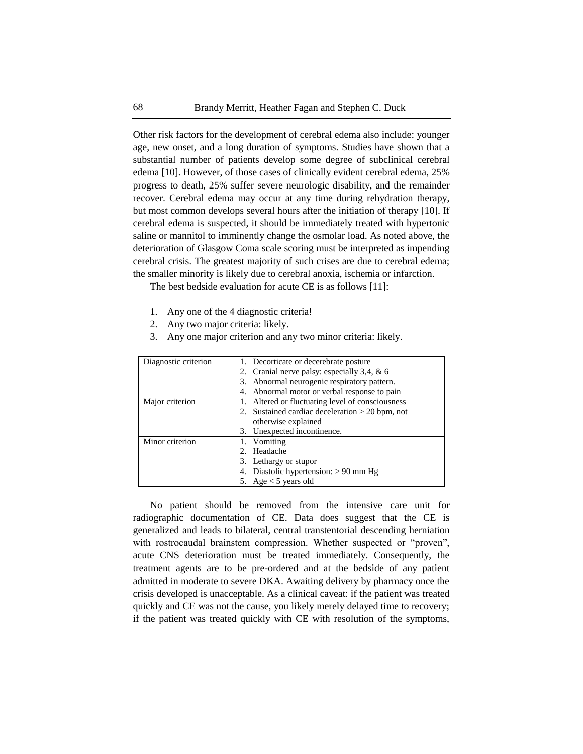Other risk factors for the development of cerebral edema also include: younger age, new onset, and a long duration of symptoms. Studies have shown that a substantial number of patients develop some degree of subclinical cerebral edema [10]. However, of those cases of clinically evident cerebral edema, 25% progress to death, 25% suffer severe neurologic disability, and the remainder recover. Cerebral edema may occur at any time during rehydration therapy, but most common develops several hours after the initiation of therapy [10]. If cerebral edema is suspected, it should be immediately treated with hypertonic saline or mannitol to imminently change the osmolar load. As noted above, the deterioration of Glasgow Coma scale scoring must be interpreted as impending cerebral crisis. The greatest majority of such crises are due to cerebral edema; the smaller minority is likely due to cerebral anoxia, ischemia or infarction.

The best bedside evaluation for acute CE is as follows [11]:

- 1. Any one of the 4 diagnostic criteria!
- 2. Any two major criteria: likely.
- 3. Any one major criterion and any two minor criteria: likely.

| Diagnostic criterion | 1. Decorticate or decerebrate posture             |
|----------------------|---------------------------------------------------|
|                      | 2. Cranial nerve palsy: especially 3,4, & 6       |
|                      | 3. Abnormal neurogenic respiratory pattern.       |
|                      | 4. Abnormal motor or verbal response to pain      |
| Major criterion      | 1. Altered or fluctuating level of consciousness  |
|                      | 2. Sustained cardiac deceleration $> 20$ bpm, not |
|                      | otherwise explained                               |
|                      | 3. Unexpected incontinence.                       |
| Minor criterion      | 1. Vomiting                                       |
|                      | 2. Headache                                       |
|                      | 3. Lethargy or stupor                             |
|                      | 4. Diastolic hypertension: $> 90$ mm Hg           |
|                      | 5. Age $<$ 5 years old                            |

No patient should be removed from the intensive care unit for radiographic documentation of CE. Data does suggest that the CE is generalized and leads to bilateral, central transtentorial descending herniation with rostrocaudal brainstem compression. Whether suspected or "proven", acute CNS deterioration must be treated immediately. Consequently, the treatment agents are to be pre-ordered and at the bedside of any patient admitted in moderate to severe DKA. Awaiting delivery by pharmacy once the crisis developed is unacceptable. As a clinical caveat: if the patient was treated quickly and CE was not the cause, you likely merely delayed time to recovery; if the patient was treated quickly with CE with resolution of the symptoms,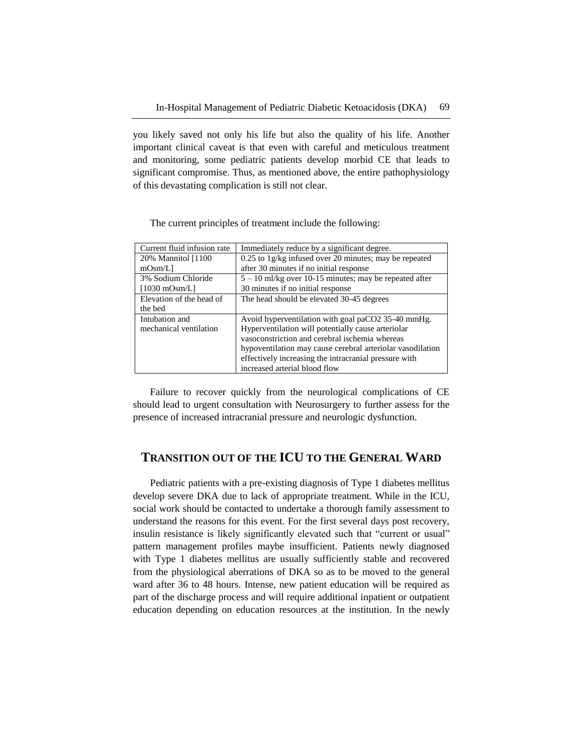you likely saved not only his life but also the quality of his life. Another important clinical caveat is that even with careful and meticulous treatment and monitoring, some pediatric patients develop morbid CE that leads to significant compromise. Thus, as mentioned above, the entire pathophysiology of this devastating complication is still not clear.

| Current fluid infusion rate | Immediately reduce by a significant degree.                |
|-----------------------------|------------------------------------------------------------|
| 20% Mannitol [1100]         | $0.25$ to 1g/kg infused over 20 minutes; may be repeated   |
| $mOsm/L$ ]                  | after 30 minutes if no initial response                    |
| 3% Sodium Chloride          | $5 - 10$ ml/kg over 10-15 minutes; may be repeated after   |
| $[1030 \text{ mOsm/L}]$     | 30 minutes if no initial response                          |
| Elevation of the head of    | The head should be elevated 30-45 degrees                  |
| the bed                     |                                                            |
| Intubation and              | Avoid hyperventilation with goal paCO2 35-40 mmHg.         |
| mechanical ventilation      | Hyperventilation will potentially cause arteriolar         |
|                             | vasoconstriction and cerebral ischemia whereas             |
|                             | hypoventilation may cause cerebral arteriolar vasodilation |
|                             | effectively increasing the intracranial pressure with      |
|                             | increased arterial blood flow                              |

The current principles of treatment include the following:

Failure to recover quickly from the neurological complications of CE should lead to urgent consultation with Neurosurgery to further assess for the presence of increased intracranial pressure and neurologic dysfunction.

# **TRANSITION OUT OF THE ICU TO THE GENERAL WARD**

Pediatric patients with a pre-existing diagnosis of Type 1 diabetes mellitus develop severe DKA due to lack of appropriate treatment. While in the ICU, social work should be contacted to undertake a thorough family assessment to understand the reasons for this event. For the first several days post recovery, insulin resistance is likely significantly elevated such that "current or usual" pattern management profiles maybe insufficient. Patients newly diagnosed with Type 1 diabetes mellitus are usually sufficiently stable and recovered from the physiological aberrations of DKA so as to be moved to the general ward after 36 to 48 hours. Intense, new patient education will be required as part of the discharge process and will require additional inpatient or outpatient education depending on education resources at the institution. In the newly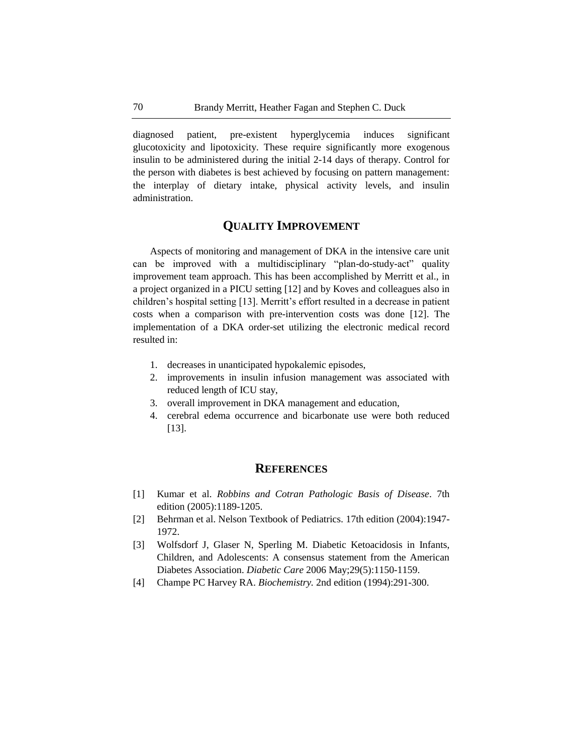diagnosed patient, pre-existent hyperglycemia induces significant glucotoxicity and lipotoxicity. These require significantly more exogenous insulin to be administered during the initial 2-14 days of therapy. Control for the person with diabetes is best achieved by focusing on pattern management: the interplay of dietary intake, physical activity levels, and insulin administration.

# **QUALITY IMPROVEMENT**

Aspects of monitoring and management of DKA in the intensive care unit can be improved with a multidisciplinary "plan-do-study-act" quality improvement team approach. This has been accomplished by Merritt et al., in a project organized in a PICU setting [12] and by Koves and colleagues also in children's hospital setting [13]. Merritt's effort resulted in a decrease in patient costs when a comparison with pre-intervention costs was done [12]. The implementation of a DKA order-set utilizing the electronic medical record resulted in:

- 1. decreases in unanticipated hypokalemic episodes,
- 2. improvements in insulin infusion management was associated with reduced length of ICU stay,
- 3. overall improvement in DKA management and education,
- 4. cerebral edema occurrence and bicarbonate use were both reduced [13].

## **REFERENCES**

- [1] Kumar et al. *Robbins and Cotran Pathologic Basis of Disease*. 7th edition (2005):1189-1205.
- [2] Behrman et al. Nelson Textbook of Pediatrics. 17th edition (2004):1947- 1972.
- [3] Wolfsdorf J, Glaser N, Sperling M. Diabetic Ketoacidosis in Infants, Children, and Adolescents: A consensus statement from the American Diabetes Association. *Diabetic Care* 2006 May;29(5):1150-1159.
- [4] Champe PC Harvey RA. *Biochemistry.* 2nd edition (1994):291-300.